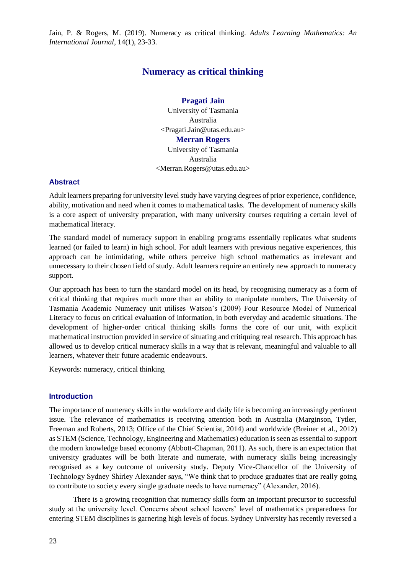# **Numeracy as critical thinking**

**Pragati Jain** University of Tasmania Australia <Pragati.Jain@utas.edu.au> **Merran Rogers** University of Tasmania

Australia <Merran.Rogers@utas.edu.au>

#### **Abstract**

Adult learners preparing for university level study have varying degrees of prior experience, confidence, ability, motivation and need when it comes to mathematical tasks. The development of numeracy skills is a core aspect of university preparation, with many university courses requiring a certain level of mathematical literacy.

The standard model of numeracy support in enabling programs essentially replicates what students learned (or failed to learn) in high school. For adult learners with previous negative experiences, this approach can be intimidating, while others perceive high school mathematics as irrelevant and unnecessary to their chosen field of study. Adult learners require an entirely new approach to numeracy support.

Our approach has been to turn the standard model on its head, by recognising numeracy as a form of critical thinking that requires much more than an ability to manipulate numbers. The University of Tasmania Academic Numeracy unit utilises Watson's (2009) Four Resource Model of Numerical Literacy to focus on critical evaluation of information, in both everyday and academic situations. The development of higher-order critical thinking skills forms the core of our unit, with explicit mathematical instruction provided in service of situating and critiquing real research. This approach has allowed us to develop critical numeracy skills in a way that is relevant, meaningful and valuable to all learners, whatever their future academic endeavours.

Keywords: numeracy, critical thinking

#### **Introduction**

The importance of numeracy skills in the workforce and daily life is becoming an increasingly pertinent issue. The relevance of mathematics is receiving attention both in Australia (Marginson, Tytler, Freeman and Roberts, 2013; Office of the Chief Scientist, 2014) and worldwide (Breiner et al., 2012) as STEM (Science, Technology, Engineering and Mathematics) education is seen as essential to support the modern knowledge based economy (Abbott-Chapman, 2011). As such, there is an expectation that university graduates will be both literate and numerate, with numeracy skills being increasingly recognised as a key outcome of university study. Deputy Vice-Chancellor of the University of Technology Sydney Shirley Alexander says, "We think that to produce graduates that are really going to contribute to society every single graduate needs to have numeracy" (Alexander, 2016).

There is a growing recognition that numeracy skills form an important precursor to successful study at the university level. Concerns about school leavers' level of mathematics preparedness for entering STEM disciplines is garnering high levels of focus. Sydney University has recently reversed a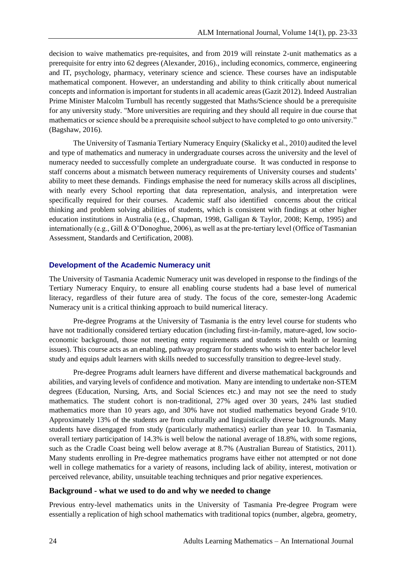decision to waive mathematics pre-requisites, and from 2019 will reinstate 2-unit mathematics as a prerequisite for entry into 62 degrees (Alexander, 2016)., including economics, commerce, engineering and IT, psychology, pharmacy, veterinary science and science. These courses have an indisputable mathematical component. However, an understanding and ability to think critically about numerical concepts and information is important for students in all academic areas (Gazit 2012). Indeed Australian Prime Minister Malcolm Turnbull has recently suggested that Maths/Science should be a prerequisite for any university study. "More universities are requiring and they should all require in due course that mathematics or science should be a prerequisite school subject to have completed to go onto university." (Bagshaw, 2016).

The University of Tasmania Tertiary Numeracy Enquiry (Skalicky et al., 2010) audited the level and type of mathematics and numeracy in undergraduate courses across the university and the level of numeracy needed to successfully complete an undergraduate course. It was conducted in response to staff concerns about a mismatch between numeracy requirements of University courses and students' ability to meet these demands. Findings emphasise the need for numeracy skills across all disciplines, with nearly every School reporting that data representation, analysis, and interpretation were specifically required for their courses. Academic staff also identified concerns about the critical thinking and problem solving abilities of students, which is consistent with findings at other higher education institutions in Australia (e.g., Chapman, 1998, Galligan & Taylor, 2008; Kemp, 1995) and internationally (e.g., Gill & O'Donoghue, 2006), as well as at the pre‐tertiary level (Office of Tasmanian Assessment, Standards and Certification, 2008).

### **Development of the Academic Numeracy unit**

The University of Tasmania Academic Numeracy unit was developed in response to the findings of the Tertiary Numeracy Enquiry, to ensure all enabling course students had a base level of numerical literacy, regardless of their future area of study. The focus of the core, semester-long Academic Numeracy unit is a critical thinking approach to build numerical literacy.

Pre-degree Programs at the University of Tasmania is the entry level course for students who have not traditionally considered tertiary education (including first-in-family, mature-aged, low socioeconomic background, those not meeting entry requirements and students with health or learning issues). This course acts as an enabling, pathway program for students who wish to enter bachelor level study and equips adult learners with skills needed to successfully transition to degree-level study.

Pre-degree Programs adult learners have different and diverse mathematical backgrounds and abilities, and varying levels of confidence and motivation. Many are intending to undertake non-STEM degrees (Education, Nursing, Arts, and Social Sciences etc.) and may not see the need to study mathematics. The student cohort is non-traditional, 27% aged over 30 years, 24% last studied mathematics more than 10 years ago, and 30% have not studied mathematics beyond Grade 9/10. Approximately 13% of the students are from culturally and linguistically diverse backgrounds. Many students have disengaged from study (particularly mathematics) earlier than year 10. In Tasmania, overall tertiary participation of 14.3% is well below the national average of 18.8%, with some regions, such as the Cradle Coast being well below average at 8.7% (Australian Bureau of Statistics, 2011). Many students enrolling in Pre-degree mathematics programs have either not attempted or not done well in college mathematics for a variety of reasons, including lack of ability, interest, motivation or perceived relevance, ability, unsuitable teaching techniques and prior negative experiences.

#### **Background - what we used to do and why we needed to change**

Previous entry-level mathematics units in the University of Tasmania Pre-degree Program were essentially a replication of high school mathematics with traditional topics (number, algebra, geometry,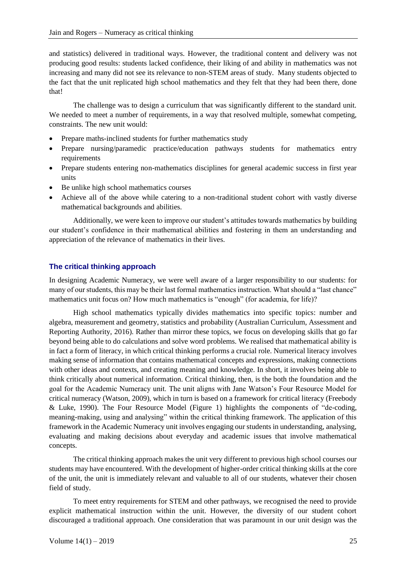and statistics) delivered in traditional ways. However, the traditional content and delivery was not producing good results: students lacked confidence, their liking of and ability in mathematics was not increasing and many did not see its relevance to non-STEM areas of study. Many students objected to the fact that the unit replicated high school mathematics and they felt that they had been there, done that!

The challenge was to design a curriculum that was significantly different to the standard unit. We needed to meet a number of requirements, in a way that resolved multiple, somewhat competing, constraints. The new unit would:

- Prepare maths-inclined students for further mathematics study
- Prepare nursing/paramedic practice/education pathways students for mathematics entry requirements
- Prepare students entering non-mathematics disciplines for general academic success in first year units
- Be unlike high school mathematics courses
- Achieve all of the above while catering to a non-traditional student cohort with vastly diverse mathematical backgrounds and abilities.

Additionally, we were keen to improve our student's attitudes towards mathematics by building our student's confidence in their mathematical abilities and fostering in them an understanding and appreciation of the relevance of mathematics in their lives.

### **The critical thinking approach**

In designing Academic Numeracy, we were well aware of a larger responsibility to our students: for many of our students, this may be their last formal mathematics instruction. What should a "last chance" mathematics unit focus on? How much mathematics is "enough" (for academia, for life)?

High school mathematics typically divides mathematics into specific topics: number and algebra, measurement and geometry, statistics and probability (Australian Curriculum, Assessment and Reporting Authority, 2016). Rather than mirror these topics, we focus on developing skills that go far beyond being able to do calculations and solve word problems. We realised that mathematical ability is in fact a form of literacy, in which critical thinking performs a crucial role. Numerical literacy involves making sense of information that contains mathematical concepts and expressions, making connections with other ideas and contexts, and creating meaning and knowledge. In short, it involves being able to think critically about numerical information. Critical thinking, then, is the both the foundation and the goal for the Academic Numeracy unit. The unit aligns with Jane Watson's Four Resource Model for critical numeracy (Watson, 2009), which in turn is based on a framework for critical literacy (Freebody & Luke, 1990). The Four Resource Model (Figure 1) highlights the components of "de-coding, meaning-making, using and analysing" within the critical thinking framework. The application of this framework in the Academic Numeracy unit involves engaging our students in understanding, analysing, evaluating and making decisions about everyday and academic issues that involve mathematical concepts.

The critical thinking approach makes the unit very different to previous high school courses our students may have encountered. With the development of higher-order critical thinking skills at the core of the unit, the unit is immediately relevant and valuable to all of our students, whatever their chosen field of study.

To meet entry requirements for STEM and other pathways, we recognised the need to provide explicit mathematical instruction within the unit. However, the diversity of our student cohort discouraged a traditional approach. One consideration that was paramount in our unit design was the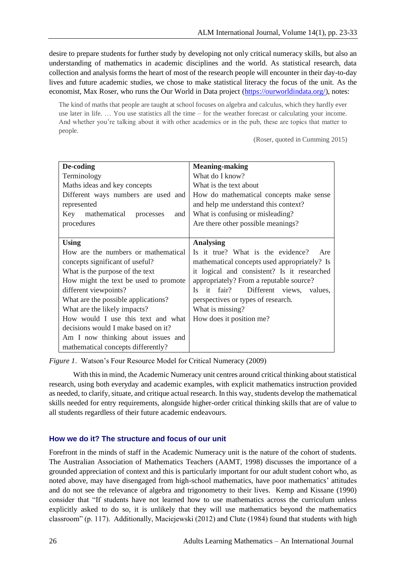desire to prepare students for further study by developing not only critical numeracy skills, but also an understanding of mathematics in academic disciplines and the world. As statistical research, data collection and analysis forms the heart of most of the research people will encounter in their day-to-day lives and future academic studies, we chose to make statistical literacy the focus of the unit. As the economist, Max Roser, who runs the Our World in Data project (https://ourworldindata.org/), notes:

The kind of maths that people are taught at school focuses on algebra and calculus, which they hardly ever use later in life. … You use statistics all the time – for the weather forecast or calculating your income. And whether you're talking about it with other academics or in the pub, these are topics that matter to people.

(Roser, quoted in Cumming 2015)

| De-coding                               | <b>Meaning-making</b>                             |
|-----------------------------------------|---------------------------------------------------|
| Terminology                             | What do I know?                                   |
| Maths ideas and key concepts            | What is the text about                            |
| Different ways numbers are used and     | How do mathematical concepts make sense           |
| represented                             | and help me understand this context?              |
| mathematical<br>Key<br>and<br>processes | What is confusing or misleading?                  |
| procedures                              | Are there other possible meanings?                |
|                                         |                                                   |
| Using                                   | <b>Analysing</b>                                  |
| How are the numbers or mathematical     | Is it true? What is the evidence?<br>Are          |
| concepts significant of useful?         | mathematical concepts used appropriately? Is      |
| What is the purpose of the text         | it logical and consistent? Is it researched       |
| How might the text be used to promote   | appropriately? From a reputable source?           |
| different viewpoints?                   | it fair?<br>Different views, values,<br><b>Is</b> |
| What are the possible applications?     | perspectives or types of research.                |
| What are the likely impacts?            | What is missing?                                  |
| How would I use this text and what      | How does it position me?                          |
| decisions would I make based on it?     |                                                   |
| Am I now thinking about issues and      |                                                   |
| mathematical concepts differently?      |                                                   |

*Figure 1*. Watson's Four Resource Model for Critical Numeracy (2009)

With this in mind, the Academic Numeracy unit centres around critical thinking about statistical research, using both everyday and academic examples, with explicit mathematics instruction provided as needed, to clarify, situate, and critique actual research. In this way, students develop the mathematical skills needed for entry requirements, alongside higher-order critical thinking skills that are of value to all students regardless of their future academic endeavours.

### **How we do it? The structure and focus of our unit**

Forefront in the minds of staff in the Academic Numeracy unit is the nature of the cohort of students. The Australian Association of Mathematics Teachers (AAMT, 1998) discusses the importance of a grounded appreciation of context and this is particularly important for our adult student cohort who, as noted above, may have disengaged from high-school mathematics, have poor mathematics' attitudes and do not see the relevance of algebra and trigonometry to their lives. Kemp and Kissane (1990) consider that "If students have not learned how to use mathematics across the curriculum unless explicitly asked to do so, it is unlikely that they will use mathematics beyond the mathematics classroom" (p. 117). Additionally, Maciejewski (2012) and Clute (1984) found that students with high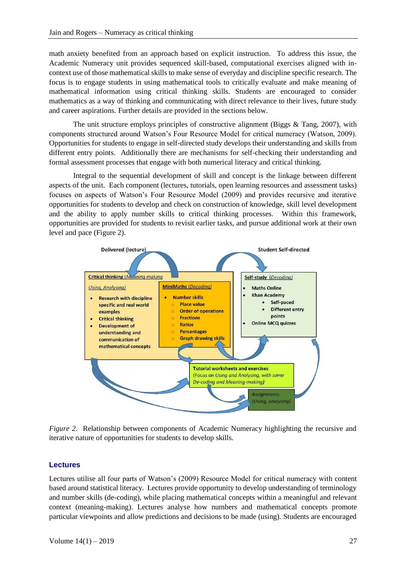math anxiety benefited from an approach based on explicit instruction. To address this issue, the Academic Numeracy unit provides sequenced skill-based, computational exercises aligned with incontext use of those mathematical skills to make sense of everyday and discipline specific research. The focus is to engage students in using mathematical tools to critically evaluate and make meaning of mathematical information using critical thinking skills. Students are encouraged to consider mathematics as a way of thinking and communicating with direct relevance to their lives, future study and career aspirations. Further details are provided in the sections below.

The unit structure employs principles of constructive alignment (Biggs  $\&$  Tang, 2007), with components structured around Watson's Four Resource Model for critical numeracy (Watson, 2009). Opportunities for students to engage in self-directed study develops their understanding and skills from different entry points. Additionally there are mechanisms for self-checking their understanding and formal assessment processes that engage with both numerical literacy and critical thinking.

Integral to the sequential development of skill and concept is the linkage between different aspects of the unit. Each component (lectures, tutorials, open learning resources and assessment tasks) focuses on aspects of Watson's Four Resource Model (2009) and provides recursive and iterative opportunities for students to develop and check on construction of knowledge, skill level development and the ability to apply number skills to critical thinking processes. Within this framework, opportunities are provided for students to revisit earlier tasks, and pursue additional work at their own level and pace (Figure 2).



*Figure 2*. Relationship between components of Academic Numeracy highlighting the recursive and iterative nature of opportunities for students to develop skills.

### **Lectures**

Lectures utilise all four parts of Watson's (2009) Resource Model for critical numeracy with content based around statistical literacy. Lectures provide opportunity to develop understanding of terminology and number skills (de-coding), while placing mathematical concepts within a meaningful and relevant context (meaning-making). Lectures analyse how numbers and mathematical concepts promote particular viewpoints and allow predictions and decisions to be made (using). Students are encouraged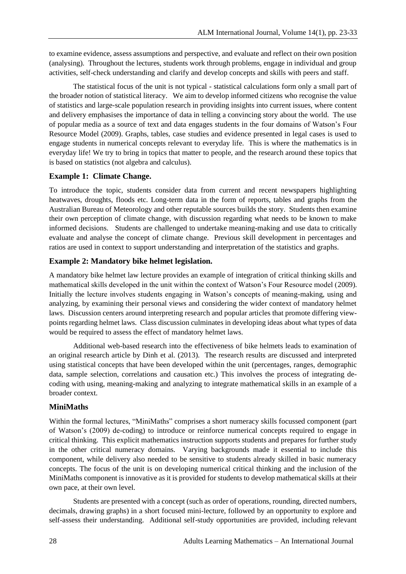to examine evidence, assess assumptions and perspective, and evaluate and reflect on their own position (analysing). Throughout the lectures, students work through problems, engage in individual and group activities, self-check understanding and clarify and develop concepts and skills with peers and staff.

The statistical focus of the unit is not typical - statistical calculations form only a small part of the broader notion of statistical literacy. We aim to develop informed citizens who recognise the value of statistics and large-scale population research in providing insights into current issues, where content and delivery emphasises the importance of data in telling a convincing story about the world. The use of popular media as a source of text and data engages students in the four domains of Watson's Four Resource Model (2009). Graphs, tables, case studies and evidence presented in legal cases is used to engage students in numerical concepts relevant to everyday life. This is where the mathematics is in everyday life! We try to bring in topics that matter to people, and the research around these topics that is based on statistics (not algebra and calculus).

### **Example 1: Climate Change.**

To introduce the topic, students consider data from current and recent newspapers highlighting heatwaves, droughts, floods etc. Long-term data in the form of reports, tables and graphs from the Australian Bureau of Meteorology and other reputable sources builds the story. Students then examine their own perception of climate change, with discussion regarding what needs to be known to make informed decisions. Students are challenged to undertake meaning-making and use data to critically evaluate and analyse the concept of climate change. Previous skill development in percentages and ratios are used in context to support understanding and interpretation of the statistics and graphs.

## **Example 2: Mandatory bike helmet legislation.**

A mandatory bike helmet law lecture provides an example of integration of critical thinking skills and mathematical skills developed in the unit within the context of Watson's Four Resource model (2009). Initially the lecture involves students engaging in Watson's concepts of meaning-making, using and analyzing, by examining their personal views and considering the wider context of mandatory helmet laws. Discussion centers around interpreting research and popular articles that promote differing viewpoints regarding helmet laws. Class discussion culminates in developing ideas about what types of data would be required to assess the effect of mandatory helmet laws.

Additional web-based research into the effectiveness of bike helmets leads to examination of an original research article by Dinh et al. (2013). The research results are discussed and interpreted using statistical concepts that have been developed within the unit (percentages, ranges, demographic data, sample selection, correlations and causation etc.) This involves the process of integrating decoding with using, meaning-making and analyzing to integrate mathematical skills in an example of a broader context.

### **MiniMaths**

Within the formal lectures, "MiniMaths" comprises a short numeracy skills focussed component (part of Watson's (2009) de-coding) to introduce or reinforce numerical concepts required to engage in critical thinking. This explicit mathematics instruction supports students and prepares for further study in the other critical numeracy domains. Varying backgrounds made it essential to include this component, while delivery also needed to be sensitive to students already skilled in basic numeracy concepts. The focus of the unit is on developing numerical critical thinking and the inclusion of the MiniMaths component is innovative as it is provided for students to develop mathematical skills at their own pace, at their own level.

Students are presented with a concept (such as order of operations, rounding, directed numbers, decimals, drawing graphs) in a short focused mini-lecture, followed by an opportunity to explore and self-assess their understanding. Additional self-study opportunities are provided, including relevant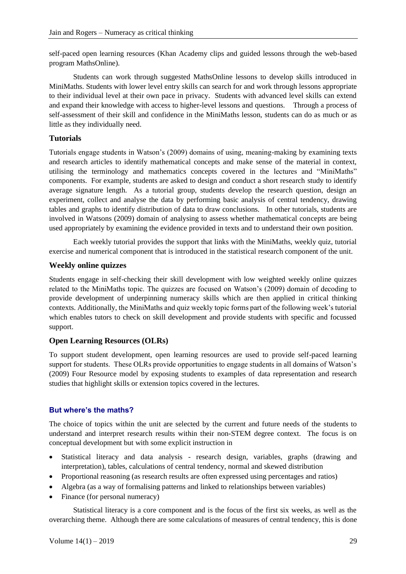self-paced open learning resources (Khan Academy clips and guided lessons through the web-based program MathsOnline).

Students can work through suggested MathsOnline lessons to develop skills introduced in MiniMaths. Students with lower level entry skills can search for and work through lessons appropriate to their individual level at their own pace in privacy. Students with advanced level skills can extend and expand their knowledge with access to higher-level lessons and questions. Through a process of self-assessment of their skill and confidence in the MiniMaths lesson, students can do as much or as little as they individually need.

## **Tutorials**

Tutorials engage students in Watson's (2009) domains of using, meaning-making by examining texts and research articles to identify mathematical concepts and make sense of the material in context, utilising the terminology and mathematics concepts covered in the lectures and "MiniMaths" components. For example, students are asked to design and conduct a short research study to identify average signature length. As a tutorial group, students develop the research question, design an experiment, collect and analyse the data by performing basic analysis of central tendency, drawing tables and graphs to identify distribution of data to draw conclusions. In other tutorials, students are involved in Watsons (2009) domain of analysing to assess whether mathematical concepts are being used appropriately by examining the evidence provided in texts and to understand their own position.

Each weekly tutorial provides the support that links with the MiniMaths, weekly quiz, tutorial exercise and numerical component that is introduced in the statistical research component of the unit.

## **Weekly online quizzes**

Students engage in self-checking their skill development with low weighted weekly online quizzes related to the MiniMaths topic. The quizzes are focused on Watson's (2009) domain of decoding to provide development of underpinning numeracy skills which are then applied in critical thinking contexts. Additionally, the MiniMaths and quiz weekly topic forms part of the following week's tutorial which enables tutors to check on skill development and provide students with specific and focussed support.

## **Open Learning Resources (OLRs)**

To support student development, open learning resources are used to provide self-paced learning support for students. These OLRs provide opportunities to engage students in all domains of Watson's (2009) Four Resource model by exposing students to examples of data representation and research studies that highlight skills or extension topics covered in the lectures.

## **But where's the maths?**

The choice of topics within the unit are selected by the current and future needs of the students to understand and interpret research results within their non-STEM degree context. The focus is on conceptual development but with some explicit instruction in

- Statistical literacy and data analysis research design, variables, graphs (drawing and interpretation), tables, calculations of central tendency, normal and skewed distribution
- Proportional reasoning (as research results are often expressed using percentages and ratios)
- Algebra (as a way of formalising patterns and linked to relationships between variables)
- Finance (for personal numeracy)

Statistical literacy is a core component and is the focus of the first six weeks, as well as the overarching theme. Although there are some calculations of measures of central tendency, this is done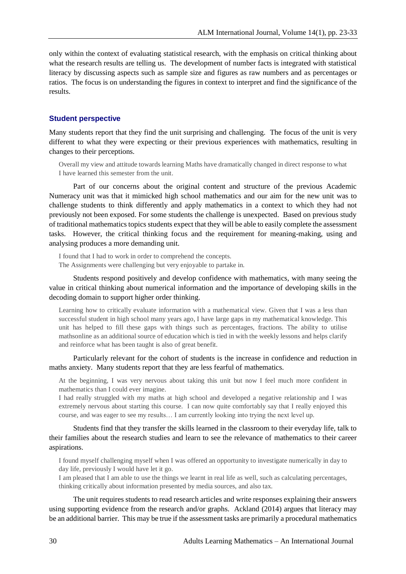only within the context of evaluating statistical research, with the emphasis on critical thinking about what the research results are telling us. The development of number facts is integrated with statistical literacy by discussing aspects such as sample size and figures as raw numbers and as percentages or ratios. The focus is on understanding the figures in context to interpret and find the significance of the results.

#### **Student perspective**

Many students report that they find the unit surprising and challenging. The focus of the unit is very different to what they were expecting or their previous experiences with mathematics, resulting in changes to their perceptions.

Overall my view and attitude towards learning Maths have dramatically changed in direct response to what I have learned this semester from the unit.

Part of our concerns about the original content and structure of the previous Academic Numeracy unit was that it mimicked high school mathematics and our aim for the new unit was to challenge students to think differently and apply mathematics in a context to which they had not previously not been exposed. For some students the challenge is unexpected. Based on previous study of traditional mathematics topics students expect that they will be able to easily complete the assessment tasks. However, the critical thinking focus and the requirement for meaning-making, using and analysing produces a more demanding unit.

I found that I had to work in order to comprehend the concepts. The Assignments were challenging but very enjoyable to partake in.

Students respond positively and develop confidence with mathematics, with many seeing the value in critical thinking about numerical information and the importance of developing skills in the decoding domain to support higher order thinking.

Learning how to critically evaluate information with a mathematical view. Given that I was a less than successful student in high school many years ago, I have large gaps in my mathematical knowledge. This unit has helped to fill these gaps with things such as percentages, fractions. The ability to utilise mathsonline as an additional source of education which is tied in with the weekly lessons and helps clarify and reinforce what has been taught is also of great benefit.

Particularly relevant for the cohort of students is the increase in confidence and reduction in maths anxiety. Many students report that they are less fearful of mathematics.

At the beginning, I was very nervous about taking this unit but now I feel much more confident in mathematics than I could ever imagine.

I had really struggled with my maths at high school and developed a negative relationship and I was extremely nervous about starting this course. I can now quite comfortably say that I really enjoyed this course, and was eager to see my results… I am currently looking into trying the next level up.

Students find that they transfer the skills learned in the classroom to their everyday life, talk to their families about the research studies and learn to see the relevance of mathematics to their career aspirations.

I found myself challenging myself when I was offered an opportunity to investigate numerically in day to day life, previously I would have let it go.

I am pleased that I am able to use the things we learnt in real life as well, such as calculating percentages, thinking critically about information presented by media sources, and also tax.

The unit requires students to read research articles and write responses explaining their answers using supporting evidence from the research and/or graphs. Ackland (2014) argues that literacy may be an additional barrier. This may be true if the assessment tasks are primarily a procedural mathematics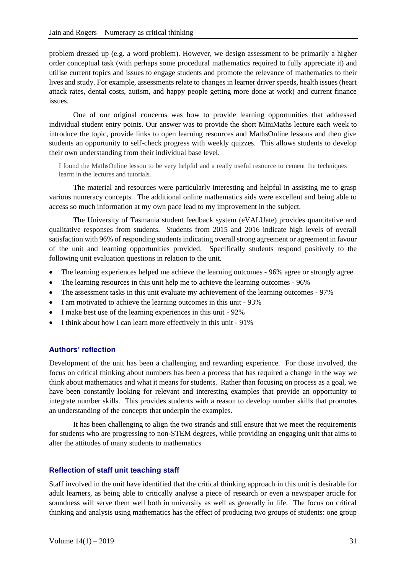problem dressed up (e.g. a word problem). However, we design assessment to be primarily a higher order conceptual task (with perhaps some procedural mathematics required to fully appreciate it) and utilise current topics and issues to engage students and promote the relevance of mathematics to their lives and study. For example, assessments relate to changes in learner driver speeds, health issues (heart attack rates, dental costs, autism, and happy people getting more done at work) and current finance issues.

One of our original concerns was how to provide learning opportunities that addressed individual student entry points. Our answer was to provide the short MiniMaths lecture each week to introduce the topic, provide links to open learning resources and MathsOnline lessons and then give students an opportunity to self-check progress with weekly quizzes. This allows students to develop their own understanding from their individual base level.

I found the MathsOnline lesson to be very helpful and a really useful resource to cement the techniques learnt in the lectures and tutorials.

The material and resources were particularly interesting and helpful in assisting me to grasp various numeracy concepts. The additional online mathematics aids were excellent and being able to access so much information at my own pace lead to my improvement in the subject.

The University of Tasmania student feedback system (eVALUate) provides quantitative and qualitative responses from students. Students from 2015 and 2016 indicate high levels of overall satisfaction with 96% of responding students indicating overall strong agreement or agreement in favour of the unit and learning opportunities provided. Specifically students respond positively to the following unit evaluation questions in relation to the unit.

- The learning experiences helped me achieve the learning outcomes 96% agree or strongly agree
- The learning resources in this unit help me to achieve the learning outcomes 96%
- The assessment tasks in this unit evaluate my achievement of the learning outcomes 97%
- I am motivated to achieve the learning outcomes in this unit 93%
- I make best use of the learning experiences in this unit 92%
- I think about how I can learn more effectively in this unit 91%

## **Authors' reflection**

Development of the unit has been a challenging and rewarding experience. For those involved, the focus on critical thinking about numbers has been a process that has required a change in the way we think about mathematics and what it means for students. Rather than focusing on process as a goal, we have been constantly looking for relevant and interesting examples that provide an opportunity to integrate number skills. This provides students with a reason to develop number skills that promotes an understanding of the concepts that underpin the examples.

It has been challenging to align the two strands and still ensure that we meet the requirements for students who are progressing to non-STEM degrees, while providing an engaging unit that aims to alter the attitudes of many students to mathematics

#### **Reflection of staff unit teaching staff**

Staff involved in the unit have identified that the critical thinking approach in this unit is desirable for adult learners, as being able to critically analyse a piece of research or even a newspaper article for soundness will serve them well both in university as well as generally in life. The focus on critical thinking and analysis using mathematics has the effect of producing two groups of students: one group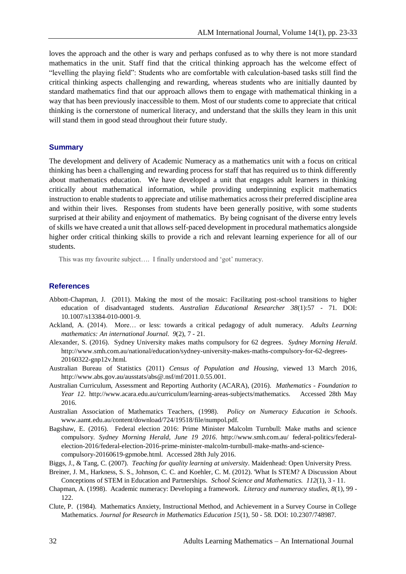loves the approach and the other is wary and perhaps confused as to why there is not more standard mathematics in the unit. Staff find that the critical thinking approach has the welcome effect of "levelling the playing field": Students who are comfortable with calculation-based tasks still find the critical thinking aspects challenging and rewarding, whereas students who are initially daunted by standard mathematics find that our approach allows them to engage with mathematical thinking in a way that has been previously inaccessible to them. Most of our students come to appreciate that critical thinking is the cornerstone of numerical literacy, and understand that the skills they learn in this unit will stand them in good stead throughout their future study.

### **Summary**

The development and delivery of Academic Numeracy as a mathematics unit with a focus on critical thinking has been a challenging and rewarding process for staff that has required us to think differently about mathematics education. We have developed a unit that engages adult learners in thinking critically about mathematical information, while providing underpinning explicit mathematics instruction to enable students to appreciate and utilise mathematics across their preferred discipline area and within their lives. Responses from students have been generally positive, with some students surprised at their ability and enjoyment of mathematics. By being cognisant of the diverse entry levels of skills we have created a unit that allows self-paced development in procedural mathematics alongside higher order critical thinking skills to provide a rich and relevant learning experience for all of our students.

This was my favourite subject…. I finally understood and 'got' numeracy.

#### **References**

- Abbott-Chapman, J. (2011). Making the most of the mosaic: Facilitating post-school transitions to higher education of disadvantaged students. *Australian Educational Researcher 38*(1):57 - 71. DOI: 10.1007/s13384-010-0001-9.
- Ackland, A. (2014). More… or less: towards a critical pedagogy of adult numeracy. *Adults Learning mathematics: An international Journal. 9*(2), 7 - 21.
- Alexander, S. (2016). Sydney University makes maths compulsory for 62 degrees. *Sydney Morning Herald*. http://www.smh.com.au/national/education/sydney-university-makes-maths-compulsory-for-62-degrees-20160322-gnp12v.html.
- Australian Bureau of Statistics (2011) *Census of Population and Housing*, viewed 13 March 2016, http://www.abs.gov.au/ausstats/abs@.nsf/mf/2011.0.55.001.
- Australian Curriculum, Assessment and Reporting Authority (ACARA), (2016). *Mathematics - Foundation to Year 12*. http://www.acara.edu.au/curriculum/learning-areas-subjects/mathematics. Accessed 28th May 2016.
- Australian Association of Mathematics Teachers, (1998). *Policy on Numeracy Education in Schools*. www.aamt.edu.au/content/download/724/19518/file/numpol.pdf.
- Bagshaw, E. (2016). Federal election 2016: Prime Minister Malcolm Turnbull: Make maths and science compulsory. *Sydney Morning Herald, June 19 2016*. http://www.smh.com.au/ federal-politics/federalelection-2016/federal-election-2016-prime-minister-malcolm-turnbull-make-maths-and-sciencecompulsory-20160619-gpmobe.html. Accessed 28th July 2016.
- Biggs, J., & Tang, C. (2007). *Teaching for quality learning at university*. Maidenhead: Open University Press.
- Breiner, J. M., Harkness, S. S., Johnson, C. C. and Koehler, C. M. (2012). 'What Is STEM? A Discussion About Conceptions of STEM in Education and Partnerships. *School Science and Mathematics. 112*(1), 3 - 11.
- Chapman, A. (1998). Academic numeracy: Developing a framework. *Literacy and numeracy studies, 8*(1), 99 122.
- Clute, P. (1984). Mathematics Anxiety, Instructional Method, and Achievement in a Survey Course in College Mathematics. *Journal for Research in Mathematics Education 15*(1), 50 - 58. DOI: 10.2307/748987.